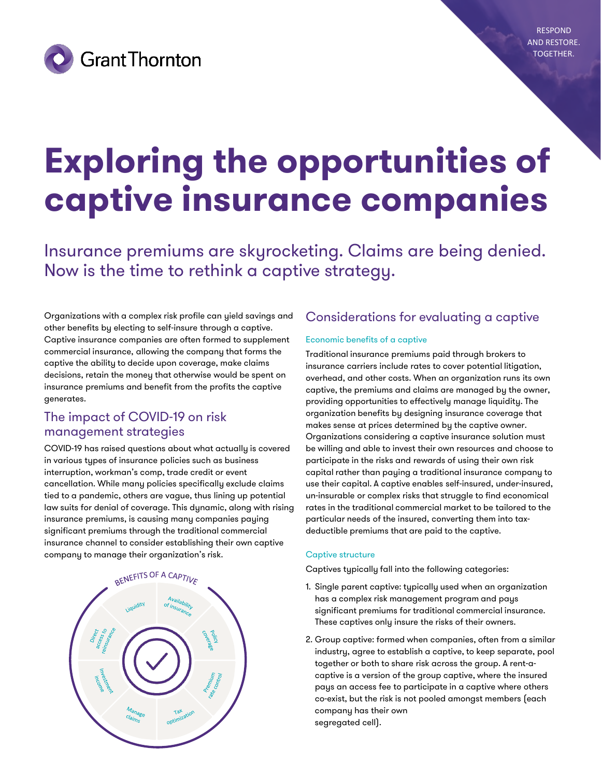

# **Exploring the opportunities of captive insurance companies**

Insurance premiums are skyrocketing. Claims are being denied. Now is the time to rethink a captive strategy.

Organizations with a complex risk profile can yield savings and other benefits by electing to self-insure through a captive. Captive insurance companies are often formed to supplement commercial insurance, allowing the company that forms the captive the ability to decide upon coverage, make claims decisions, retain the money that otherwise would be spent on insurance premiums and benefit from the profits the captive generates.

## The impact of COVID-19 on risk management strategies

COVID-19 has raised questions about what actually is covered in various types of insurance policies such as business interruption, workman's comp, trade credit or event cancellation. While many policies specifically exclude claims tied to a pandemic, others are vague, thus lining up potential law suits for denial of coverage. This dynamic, along with rising insurance premiums, is causing many companies paying significant premiums through the traditional commercial insurance channel to consider establishing their own captive company to manage their organization's risk.



## Considerations for evaluating a captive

#### Economic benefits of a captive

Traditional insurance premiums paid through brokers to insurance carriers include rates to cover potential litigation, overhead, and other costs. When an organization runs its own captive, the premiums and claims are managed by the owner, providing opportunities to effectively manage liquidity. The organization benefits by designing insurance coverage that makes sense at prices determined by the captive owner. Organizations considering a captive insurance solution must be willing and able to invest their own resources and choose to participate in the risks and rewards of using their own risk capital rather than paying a traditional insurance company to use their capital. A captive enables self-insured, under-insured, un-insurable or complex risks that struggle to find economical rates in the traditional commercial market to be tailored to the particular needs of the insured, converting them into taxdeductible premiums that are paid to the captive.

#### Captive structure

Captives typically fall into the following categories:

- 1. Single parent captive: typically used when an organization has a complex risk management program and pays significant premiums for traditional commercial insurance. These captives only insure the risks of their owners.
- 2. Group captive: formed when companies, often from a similar industry, agree to establish a captive, to keep separate, pool together or both to share risk across the group. A rent-acaptive is a version of the group captive, where the insured pays an access fee to participate in a captive where others co-exist, but the risk is not pooled amongst members (each company has their own segregated cell).